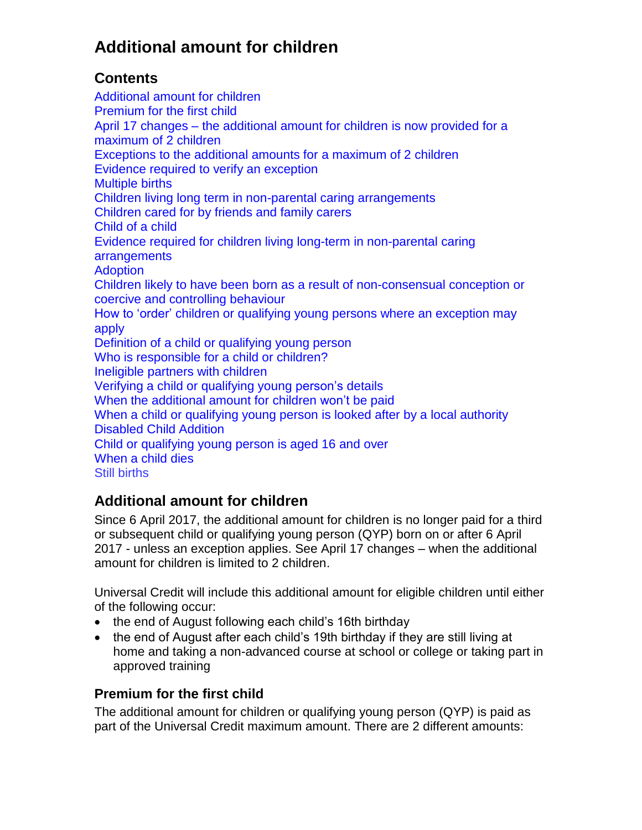# **Additional amount for children**

### **Contents**

Additional [amount for children](#page-0-0) [Premium for the first child](#page-0-1) April 17 changes – [the additional amount for children](#page-1-0) is now provided for a [maximum of 2 children](#page-1-0) [Exceptions to the additional amounts for a maximum of 2 children](#page-1-1)  [Evidence required to verify an exception](#page-2-0) [Multiple births](#page-2-1) [Children living long term in non-parental caring arrangements](#page-3-0) [Children cared for by friends and family carers](#page-3-1) [Child of a child](#page-3-2) [Evidence required for children living long-term in non-parental caring](#page-4-0)  [arrangements](#page-4-0) **[Adoption](#page-4-1)** [Children likely to have been born as a result of non-consensual conception or](#page-5-0)  [coercive and controlling behaviour](#page-5-0) [How to 'order' children or qualifying young persons where an exception may](#page-5-1)  [apply](#page-5-1) Definition of [a child or qualifying young person](#page-6-0) [Who is responsible for a child or children?](#page-6-1) [Ineligible partners with children](#page-7-0) [Verifying a child or qualifying young person's](#page-7-1) details [When the additional amount for children won't](#page-7-2) be paid When a child or qualifying young person [is looked after by a local authority](#page-8-0) [Disabled Child Addition](#page-9-0) Child [or qualifying young person](#page-9-1) is aged 16 and over [When a](#page-10-0) child dies [Still births](#page-10-1)

# <span id="page-0-0"></span>**Additional amount for children**

Since 6 April 2017, the additional amount for children is no longer paid for a third or subsequent child or qualifying young person (QYP) born on or after 6 April 2017 - unless an exception applies. See April 17 changes – when the additional amount for children is limited to 2 children.

Universal Credit will include this additional amount for eligible children until either of the following occur:

- the end of August following each child's 16th birthday
- the end of August after each child's 19th birthday if they are still living at home and taking a non-advanced course at school or college or taking part in approved training

### <span id="page-0-1"></span>**Premium for the first child**

The additional amount for children or qualifying young person (QYP) is paid as part of the Universal Credit maximum amount. There are 2 different amounts: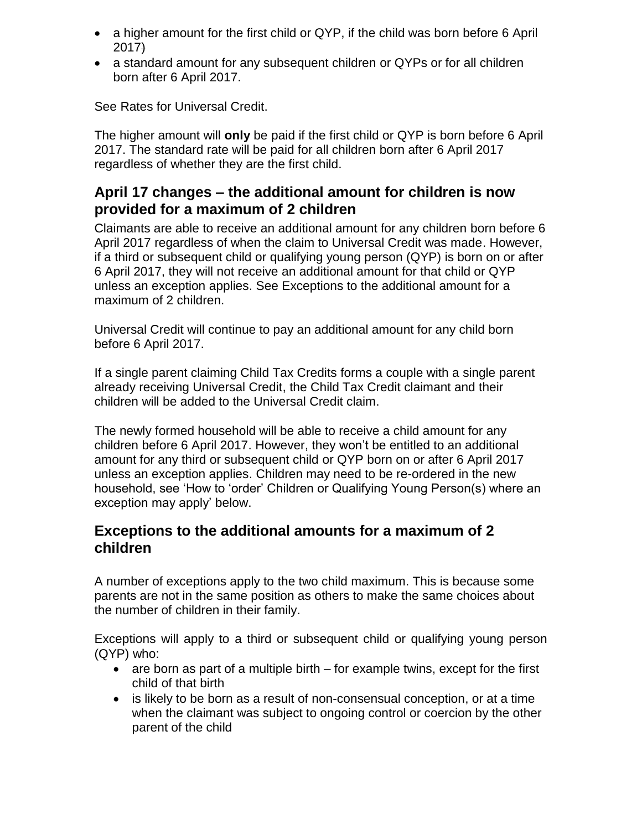- a higher amount for the first child or QYP, if the child was born before 6 April 2017)
- a standard amount for any subsequent children or QYPs or for all children born after 6 April 2017.

See Rates for Universal Credit.

The higher amount will **only** be paid if the first child or QYP is born before 6 April 2017. The standard rate will be paid for all children born after 6 April 2017 regardless of whether they are the first child.

### <span id="page-1-0"></span>**April 17 changes – the additional amount for children is now provided for a maximum of 2 children**

Claimants are able to receive an additional amount for any children born before 6 April 2017 regardless of when the claim to Universal Credit was made. However, if a third or subsequent child or qualifying young person (QYP) is born on or after 6 April 2017, they will not receive an additional amount for that child or QYP unless an exception applies. See Exceptions to the additional amount for a maximum of 2 children.

Universal Credit will continue to pay an additional amount for any child born before 6 April 2017.

If a single parent claiming Child Tax Credits forms a couple with a single parent already receiving Universal Credit, the Child Tax Credit claimant and their children will be added to the Universal Credit claim.

The newly formed household will be able to receive a child amount for any children before 6 April 2017. However, they won't be entitled to an additional amount for any third or subsequent child or QYP born on or after 6 April 2017 unless an exception applies. Children may need to be re-ordered in the new household, see 'How to 'order' Children or Qualifying Young Person(s) where an exception may apply' below.

#### <span id="page-1-1"></span>**Exceptions to the additional amounts for a maximum of 2 children**

A number of exceptions apply to the two child maximum. This is because some parents are not in the same position as others to make the same choices about the number of children in their family.

Exceptions will apply to a third or subsequent child or qualifying young person (QYP) who:

- $\bullet$  are born as part of a multiple birth for example twins, except for the first child of that birth
- is likely to be born as a result of non-consensual conception, or at a time when the claimant was subject to ongoing control or coercion by the other parent of the child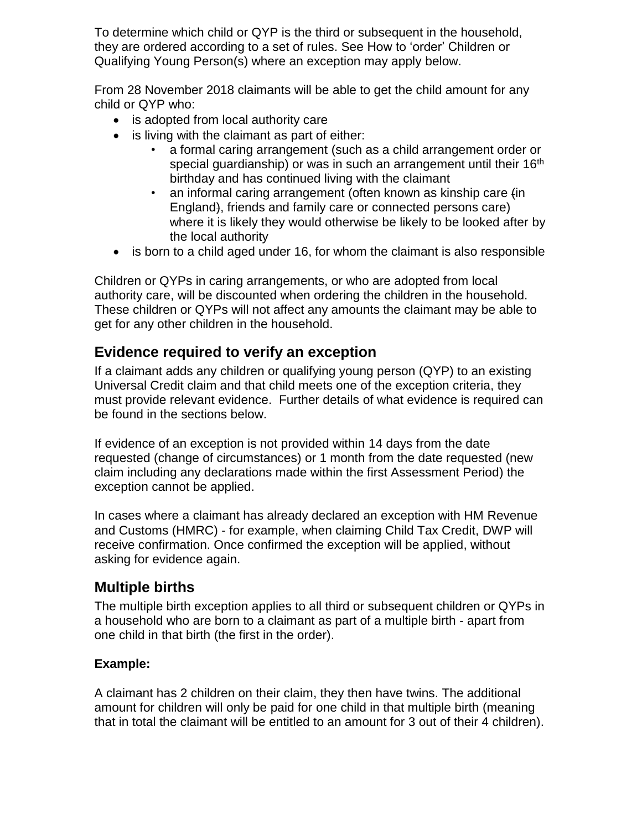To determine which child or QYP is the third or subsequent in the household, they are ordered according to a set of rules. See How to 'order' Children or Qualifying Young Person(s) where an exception may apply below.

From 28 November 2018 claimants will be able to get the child amount for any child or QYP who:

- is adopted from local authority care
- is living with the claimant as part of either:
	- a formal caring arrangement (such as a child arrangement order or special guardianship) or was in such an arrangement until their 16<sup>th</sup> birthday and has continued living with the claimant
	- an informal caring arrangement (often known as kinship care  $fin$ England), friends and family care or connected persons care) where it is likely they would otherwise be likely to be looked after by the local authority
- is born to a child aged under 16, for whom the claimant is also responsible

Children or QYPs in caring arrangements, or who are adopted from local authority care, will be discounted when ordering the children in the household. These children or QYPs will not affect any amounts the claimant may be able to get for any other children in the household.

### <span id="page-2-0"></span>**Evidence required to verify an exception**

If a claimant adds any children or qualifying young person (QYP) to an existing Universal Credit claim and that child meets one of the exception criteria, they must provide relevant evidence. Further details of what evidence is required can be found in the sections below.

If evidence of an exception is not provided within 14 days from the date requested (change of circumstances) or 1 month from the date requested (new claim including any declarations made within the first Assessment Period) the exception cannot be applied.

In cases where a claimant has already declared an exception with HM Revenue and Customs (HMRC) - for example, when claiming Child Tax Credit, DWP will receive confirmation. Once confirmed the exception will be applied, without asking for evidence again.

### <span id="page-2-1"></span>**Multiple births**

The multiple birth exception applies to all third or subsequent children or QYPs in a household who are born to a claimant as part of a multiple birth - apart from one child in that birth (the first in the order).

#### **Example:**

A claimant has 2 children on their claim, they then have twins. The additional amount for children will only be paid for one child in that multiple birth (meaning that in total the claimant will be entitled to an amount for 3 out of their 4 children).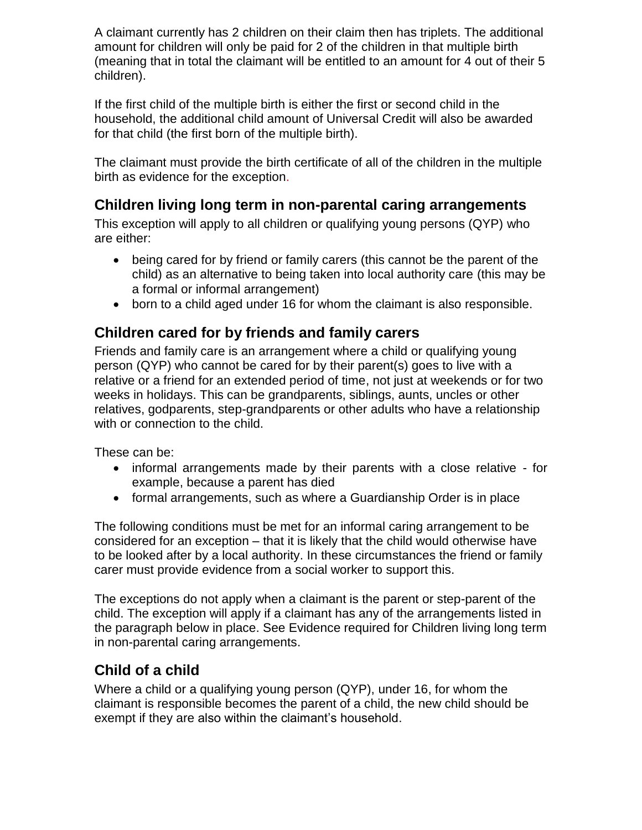A claimant currently has 2 children on their claim then has triplets. The additional amount for children will only be paid for 2 of the children in that multiple birth (meaning that in total the claimant will be entitled to an amount for 4 out of their 5 children).

If the first child of the multiple birth is either the first or second child in the household, the additional child amount of Universal Credit will also be awarded for that child (the first born of the multiple birth).

The claimant must provide the birth certificate of all of the children in the multiple birth as evidence for the exception.

### <span id="page-3-0"></span>**Children living long term in non-parental caring arrangements**

This exception will apply to all children or qualifying young persons (QYP) who are either:

- being cared for by friend or family carers (this cannot be the parent of the child) as an alternative to being taken into local authority care (this may be a formal or informal arrangement)
- born to a child aged under 16 for whom the claimant is also responsible.

### <span id="page-3-1"></span>**Children cared for by friends and family carers**

Friends and family care is an arrangement where a child or qualifying young person (QYP) who cannot be cared for by their parent(s) goes to live with a relative or a friend for an extended period of time, not just at weekends or for two weeks in holidays. This can be grandparents, siblings, aunts, uncles or other relatives, godparents, step-grandparents or other adults who have a relationship with or connection to the child.

These can be:

- informal arrangements made by their parents with a close relative for example, because a parent has died
- formal arrangements, such as where a Guardianship Order is in place

The following conditions must be met for an informal caring arrangement to be considered for an exception – that it is likely that the child would otherwise have to be looked after by a local authority. In these circumstances the friend or family carer must provide evidence from a social worker to support this.

The exceptions do not apply when a claimant is the parent or step-parent of the child. The exception will apply if a claimant has any of the arrangements listed in the paragraph below in place. See Evidence required for Children living long term in non-parental caring arrangements.

## <span id="page-3-2"></span>**Child of a child**

Where a child or a qualifying young person (QYP), under 16, for whom the claimant is responsible becomes the parent of a child, the new child should be exempt if they are also within the claimant's household.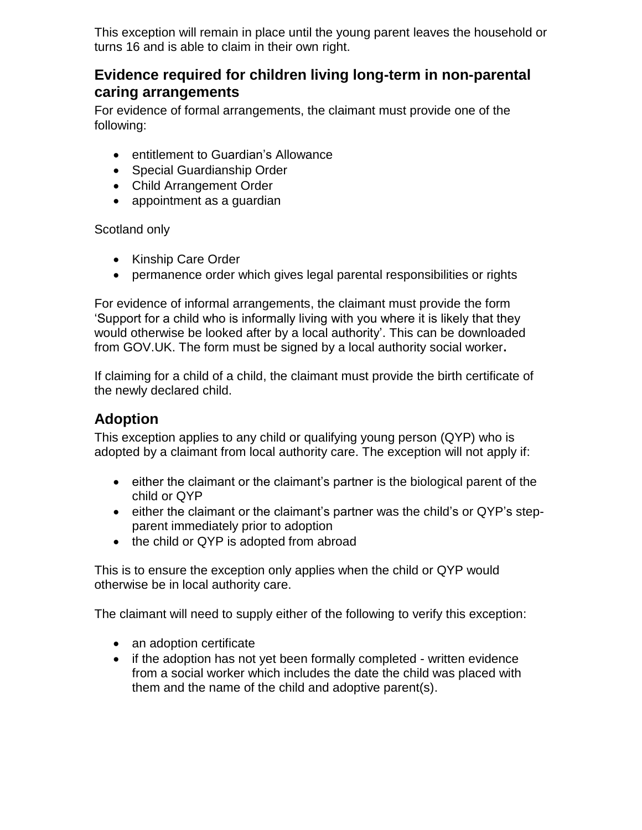This exception will remain in place until the young parent leaves the household or turns 16 and is able to claim in their own right.

### <span id="page-4-0"></span>**Evidence required for children living long-term in non-parental caring arrangements**

For evidence of formal arrangements, the claimant must provide one of the following:

- entitlement to Guardian's Allowance
- Special Guardianship Order
- Child Arrangement Order
- appointment as a guardian

Scotland only

- Kinship Care Order
- permanence order which gives legal parental responsibilities or rights

For evidence of informal arrangements, the claimant must provide the form 'Support for a child who is informally living with you where it is likely that they would otherwise be looked after by a local authority'. This can be downloaded from GOV.UK. The form must be signed by a local authority social worker**.**

If claiming for a child of a child, the claimant must provide the birth certificate of the newly declared child.

### <span id="page-4-1"></span>**Adoption**

This exception applies to any child or qualifying young person (QYP) who is adopted by a claimant from local authority care. The exception will not apply if:

- either the claimant or the claimant's partner is the biological parent of the child or QYP
- either the claimant or the claimant's partner was the child's or QYP's stepparent immediately prior to adoption
- the child or QYP is adopted from abroad

This is to ensure the exception only applies when the child or QYP would otherwise be in local authority care.

The claimant will need to supply either of the following to verify this exception:

- an adoption certificate
- if the adoption has not yet been formally completed written evidence from a social worker which includes the date the child was placed with them and the name of the child and adoptive parent(s).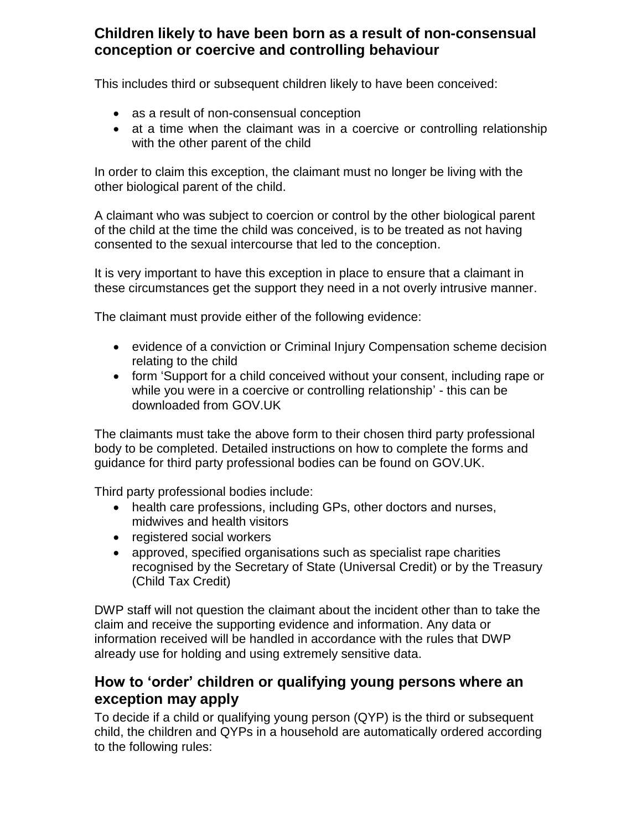#### <span id="page-5-0"></span>**Children likely to have been born as a result of non-consensual conception or coercive and controlling behaviour**

This includes third or subsequent children likely to have been conceived:

- as a result of non-consensual conception
- at a time when the claimant was in a coercive or controlling relationship with the other parent of the child

In order to claim this exception, the claimant must no longer be living with the other biological parent of the child.

A claimant who was subject to coercion or control by the other biological parent of the child at the time the child was conceived, is to be treated as not having consented to the sexual intercourse that led to the conception.

It is very important to have this exception in place to ensure that a claimant in these circumstances get the support they need in a not overly intrusive manner.

The claimant must provide either of the following evidence:

- evidence of a conviction or Criminal Injury Compensation scheme decision relating to the child
- form 'Support for a child conceived without your consent, including rape or while you were in a coercive or controlling relationship' - this can be downloaded from GOV.UK

The claimants must take the above form to their chosen third party professional body to be completed. Detailed instructions on how to complete the forms and guidance for third party professional bodies can be found on GOV.UK.

Third party professional bodies include:

- health care professions, including GPs, other doctors and nurses, midwives and health visitors
- registered social workers
- approved, specified organisations such as specialist rape charities recognised by the Secretary of State (Universal Credit) or by the Treasury (Child Tax Credit)

DWP staff will not question the claimant about the incident other than to take the claim and receive the supporting evidence and information. Any data or information received will be handled in accordance with the rules that DWP already use for holding and using extremely sensitive data.

### <span id="page-5-1"></span>**How to 'order' children or qualifying young persons where an exception may apply**

To decide if a child or qualifying young person (QYP) is the third or subsequent child, the children and QYPs in a household are automatically ordered according to the following rules: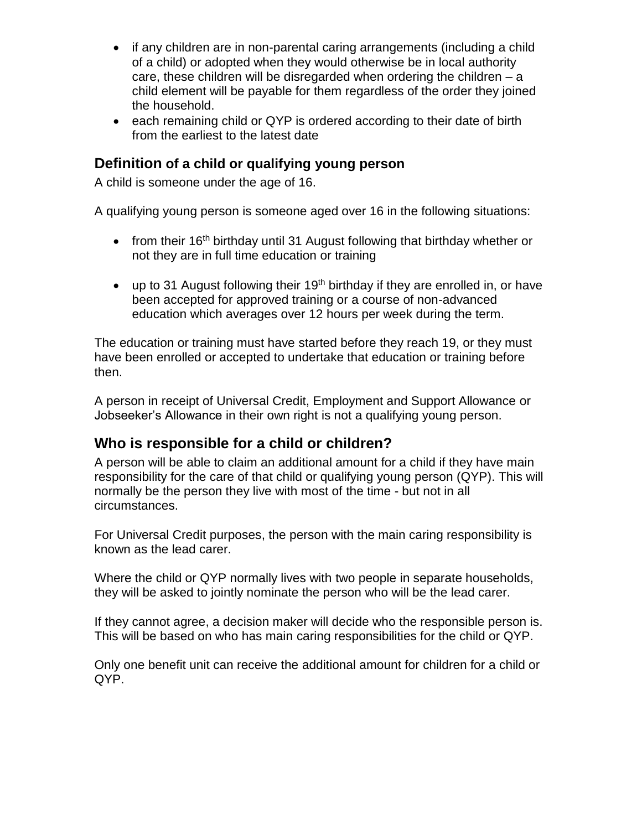- if any children are in non-parental caring arrangements (including a child of a child) or adopted when they would otherwise be in local authority care, these children will be disregarded when ordering the children – a child element will be payable for them regardless of the order they joined the household.
- each remaining child or QYP is ordered according to their date of birth from the earliest to the latest date

#### <span id="page-6-0"></span>**Definition of a child or qualifying young person**

A child is someone under the age of 16.

A qualifying young person is someone aged over 16 in the following situations:

- from their 16<sup>th</sup> birthday until 31 August following that birthday whether or not they are in full time education or training
- $\bullet$  up to 31 August following their 19<sup>th</sup> birthday if they are enrolled in, or have been accepted for approved training or a course of non-advanced education which averages over 12 hours per week during the term.

The education or training must have started before they reach 19, or they must have been enrolled or accepted to undertake that education or training before then.

A person in receipt of Universal Credit, Employment and Support Allowance or Jobseeker's Allowance in their own right is not a qualifying young person.

### <span id="page-6-1"></span>**Who is responsible for a child or children?**

A person will be able to claim an additional amount for a child if they have main responsibility for the care of that child or qualifying young person (QYP). This will normally be the person they live with most of the time - but not in all circumstances.

For Universal Credit purposes, the person with the main caring responsibility is known as the lead carer.

Where the child or QYP normally lives with two people in separate households, they will be asked to jointly nominate the person who will be the lead carer.

If they cannot agree, a decision maker will decide who the responsible person is. This will be based on who has main caring responsibilities for the child or QYP.

Only one benefit unit can receive the additional amount for children for a child or QYP.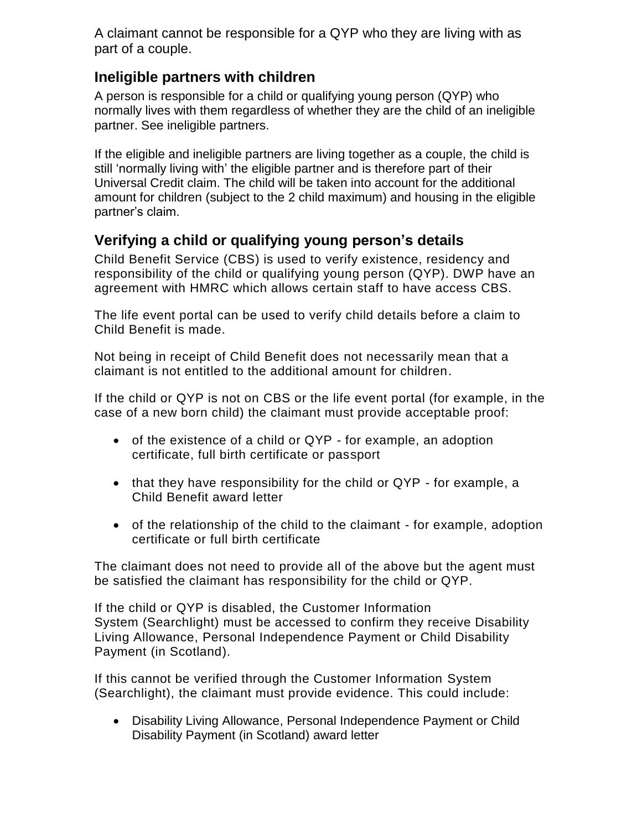A claimant cannot be responsible for a QYP who they are living with as part of a couple.

### <span id="page-7-0"></span>**Ineligible partners with children**

A person is responsible for a child or qualifying young person (QYP) who normally lives with them regardless of whether they are the child of an ineligible partner. See ineligible partners.

If the eligible and ineligible partners are living together as a couple, the child is still 'normally living with' the eligible partner and is therefore part of their Universal Credit claim. The child will be taken into account for the additional amount for children (subject to the 2 child maximum) and housing in the eligible partner's claim.

### <span id="page-7-1"></span>**Verifying a child or qualifying young person's details**

<span id="page-7-2"></span>Child Benefit Service (CBS) is used to verify existence, residency and responsibility of the child or qualifying young person (QYP). DWP have an agreement with HMRC which allows certain staff to have access CBS.

The life event portal can be used to verify child details before a claim to Child Benefit is made.

Not being in receipt of Child Benefit does not necessarily mean that a claimant is not entitled to the additional amount for children.

If the child or QYP is not on CBS or the life event portal (for example, in the case of a new born child) the claimant must provide acceptable proof:

- of the existence of a child or QYP for example, an adoption certificate, full birth certificate or passport
- that they have responsibility for the child or QYP for example, a Child Benefit award letter
- of the relationship of the child to the claimant for example, adoption certificate or full birth certificate

The claimant does not need to provide all of the above but the agent must be satisfied the claimant has responsibility for the child or QYP.

If the child or QYP is disabled, the Customer Information System (Searchlight) must be accessed to confirm they receive Disability Living Allowance, Personal Independence Payment or Child Disability Payment (in Scotland).

If this cannot be verified through the Customer Information System (Searchlight), the claimant must provide evidence. This could include:

 Disability Living Allowance, Personal Independence Payment or Child Disability Payment (in Scotland) award letter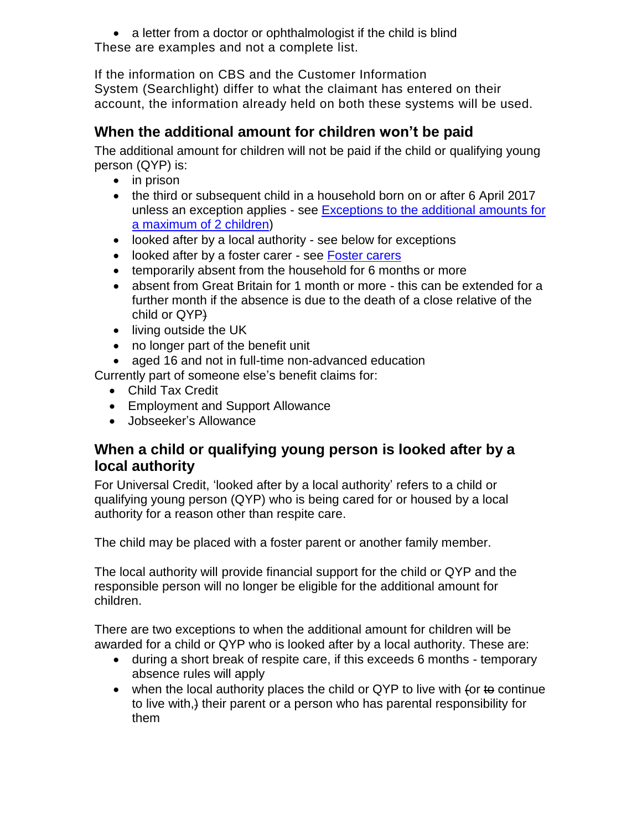• a letter from a doctor or ophthalmologist if the child is blind These are examples and not a complete list.

If the information on CBS and the Customer Information System (Searchlight) differ to what the claimant has entered on their account, the information already held on both these systems will be used.

## **When the additional amount for children won't be paid**

The additional amount for children will not be paid if the child or qualifying young person (QYP) is:

- $\bullet$  in prison
- the third or subsequent child in a household born on or after 6 April 2017 unless an exception applies - see [Exceptions to the additional amounts](#page-1-1) for [a maximum of 2 children\)](#page-1-1)
- looked after by a local authority see below for exceptions
- looked after by a foster carer see [Foster carers](https://intranet.dwp.gov.uk/policy/foster-carers)
- temporarily absent from the household for 6 months or more
- absent from Great Britain for 1 month or more this can be extended for a further month if the absence is due to the death of a close relative of the child or QYP)
- living outside the UK
- no longer part of the benefit unit
- aged 16 and not in full-time non-advanced education

Currently part of someone else's benefit claims for:

- Child Tax Credit
- Employment and Support Allowance
- Jobseeker's Allowance

### <span id="page-8-0"></span>**When a child or qualifying young person is looked after by a local authority**

For Universal Credit, 'looked after by a local authority' refers to a child or qualifying young person (QYP) who is being cared for or housed by a local authority for a reason other than respite care.

The child may be placed with a foster parent or another family member.

The local authority will provide financial support for the child or QYP and the responsible person will no longer be eligible for the additional amount for children.

There are two exceptions to when the additional amount for children will be awarded for a child or QYP who is looked after by a local authority. These are:

- during a short break of respite care, if this exceeds 6 months temporary absence rules will apply
- $\bullet$  when the local authority places the child or QYP to live with (or to continue to live with,) their parent or a person who has parental responsibility for them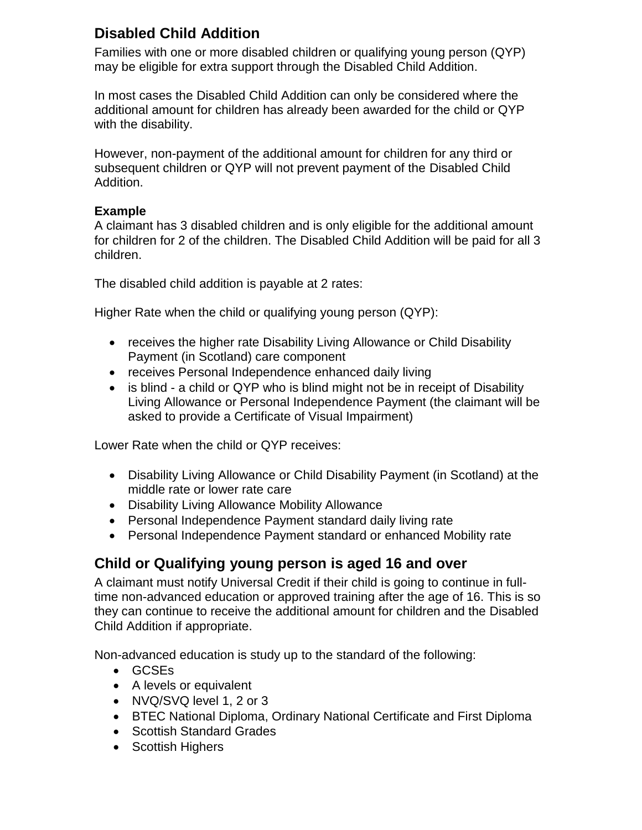## <span id="page-9-0"></span>**Disabled Child Addition**

Families with one or more disabled children or qualifying young person (QYP) may be eligible for extra support through the Disabled Child Addition.

In most cases the Disabled Child Addition can only be considered where the additional amount for children has already been awarded for the child or QYP with the disability.

However, non-payment of the additional amount for children for any third or subsequent children or QYP will not prevent payment of the Disabled Child Addition.

#### **Example**

A claimant has 3 disabled children and is only eligible for the additional amount for children for 2 of the children. The Disabled Child Addition will be paid for all 3 children.

The disabled child addition is payable at 2 rates:

Higher Rate when the child or qualifying young person (QYP):

- receives the higher rate Disability Living Allowance or Child Disability Payment (in Scotland) care component
- receives Personal Independence enhanced daily living
- is blind a child or QYP who is blind might not be in receipt of Disability Living Allowance or Personal Independence Payment (the claimant will be asked to provide a Certificate of Visual Impairment)

Lower Rate when the child or QYP receives:

- Disability Living Allowance or Child Disability Payment (in Scotland) at the middle rate or lower rate care
- Disability Living Allowance Mobility Allowance
- Personal Independence Payment standard daily living rate
- Personal Independence Payment standard or enhanced Mobility rate

### <span id="page-9-1"></span>**Child or Qualifying young person is aged 16 and over**

A claimant must notify Universal Credit if their child is going to continue in fulltime non-advanced education or approved training after the age of 16. This is so they can continue to receive the additional amount for children and the Disabled Child Addition if appropriate.

Non-advanced education is study up to the standard of the following:

- GCSEs
- A levels or equivalent
- NVQ/SVQ level 1, 2 or 3
- BTEC National Diploma, Ordinary National Certificate and First Diploma
- Scottish Standard Grades
- Scottish Highers